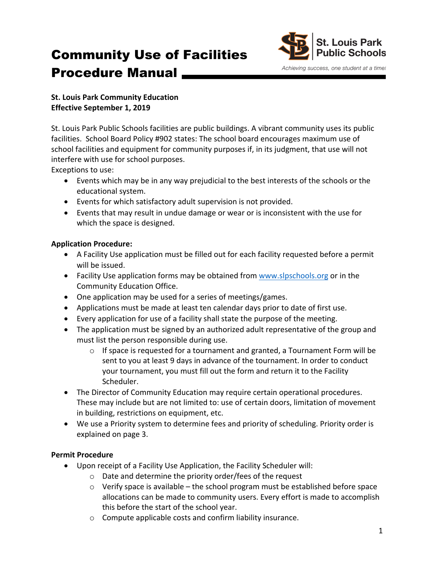# Community Use of Facilities Procedure Manual



Achieving success, one student at a time!

# **St. Louis Park Community Education Effective September 1, 2019**

St. Louis Park Public Schools facilities are public buildings. A vibrant community uses its public facilities. School Board Policy #902 states: The school board encourages maximum use of school facilities and equipment for community purposes if, in its judgment, that use will not interfere with use for school purposes.

Exceptions to use:

- Events which may be in any way prejudicial to the best interests of the schools or the educational system.
- Events for which satisfactory adult supervision is not provided.
- Events that may result in undue damage or wear or is inconsistent with the use for which the space is designed.

# **Application Procedure:**

- A Facility Use application must be filled out for each facility requested before a permit will be issued.
- Facility Use application forms may be obtained from www.slpschools.org or in the Community Education Office.
- One application may be used for a series of meetings/games.
- Applications must be made at least ten calendar days prior to date of first use.
- Every application for use of a facility shall state the purpose of the meeting.
- The application must be signed by an authorized adult representative of the group and must list the person responsible during use.
	- $\circ$  If space is requested for a tournament and granted, a Tournament Form will be sent to you at least 9 days in advance of the tournament. In order to conduct your tournament, you must fill out the form and return it to the Facility Scheduler.
- The Director of Community Education may require certain operational procedures. These may include but are not limited to: use of certain doors, limitation of movement in building, restrictions on equipment, etc.
- We use a Priority system to determine fees and priority of scheduling. Priority order is explained on page 3.

# **Permit Procedure**

- Upon receipt of a Facility Use Application, the Facility Scheduler will:
	- $\circ$  Date and determine the priority order/fees of the request
	- $\circ$  Verify space is available the school program must be established before space allocations can be made to community users. Every effort is made to accomplish this before the start of the school year.
	- $\circ$  Compute applicable costs and confirm liability insurance.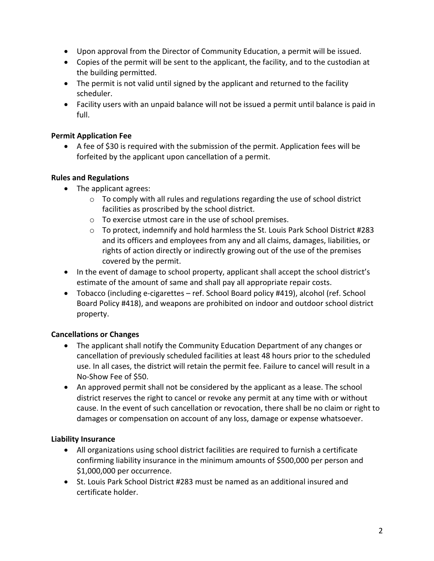- Upon approval from the Director of Community Education, a permit will be issued.
- Copies of the permit will be sent to the applicant, the facility, and to the custodian at the building permitted.
- The permit is not valid until signed by the applicant and returned to the facility scheduler.
- Facility users with an unpaid balance will not be issued a permit until balance is paid in full.

# **Permit Application Fee**

• A fee of \$30 is required with the submission of the permit. Application fees will be forfeited by the applicant upon cancellation of a permit.

# **Rules and Regulations**

- The applicant agrees:
	- $\circ$  To comply with all rules and regulations regarding the use of school district facilities as proscribed by the school district.
	- $\circ$  To exercise utmost care in the use of school premises.
	- $\circ$  To protect, indemnify and hold harmless the St. Louis Park School District #283 and its officers and employees from any and all claims, damages, liabilities, or rights of action directly or indirectly growing out of the use of the premises covered by the permit.
- In the event of damage to school property, applicant shall accept the school district's estimate of the amount of same and shall pay all appropriate repair costs.
- Tobacco (including e-cigarettes ref. School Board policy #419), alcohol (ref. School Board Policy #418), and weapons are prohibited on indoor and outdoor school district property.

# **Cancellations or Changes**

- The applicant shall notify the Community Education Department of any changes or cancellation of previously scheduled facilities at least 48 hours prior to the scheduled use. In all cases, the district will retain the permit fee. Failure to cancel will result in a No-Show Fee of \$50.
- An approved permit shall not be considered by the applicant as a lease. The school district reserves the right to cancel or revoke any permit at any time with or without cause. In the event of such cancellation or revocation, there shall be no claim or right to damages or compensation on account of any loss, damage or expense whatsoever.

#### **Liability Insurance**

- All organizations using school district facilities are required to furnish a certificate confirming liability insurance in the minimum amounts of \$500,000 per person and \$1,000,000 per occurrence.
- St. Louis Park School District #283 must be named as an additional insured and certificate holder.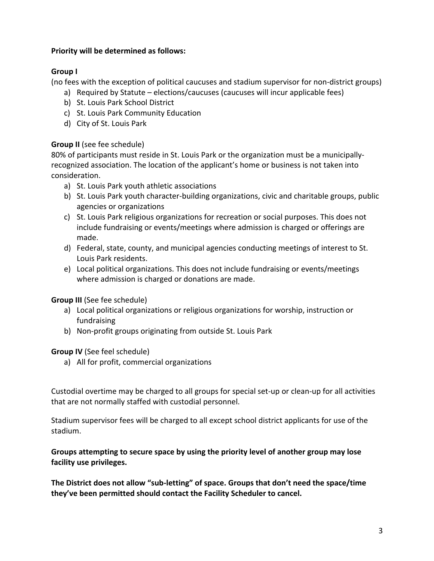#### **Priority will be determined as follows:**

# **Group I**

(no fees with the exception of political caucuses and stadium supervisor for non-district groups)

- a) Required by Statute elections/caucuses (caucuses will incur applicable fees)
- b) St. Louis Park School District
- c) St. Louis Park Community Education
- d) City of St. Louis Park

## **Group II** (see fee schedule)

80% of participants must reside in St. Louis Park or the organization must be a municipallyrecognized association. The location of the applicant's home or business is not taken into consideration. 

- a) St. Louis Park youth athletic associations
- b) St. Louis Park youth character-building organizations, civic and charitable groups, public agencies or organizations
- c) St. Louis Park religious organizations for recreation or social purposes. This does not include fundraising or events/meetings where admission is charged or offerings are made.
- d) Federal, state, county, and municipal agencies conducting meetings of interest to St. Louis Park residents.
- e) Local political organizations. This does not include fundraising or events/meetings where admission is charged or donations are made.

# **Group III** (See fee schedule)

- a) Local political organizations or religious organizations for worship, instruction or fundraising
- b) Non-profit groups originating from outside St. Louis Park

#### **Group IV** (See feel schedule)

a) All for profit, commercial organizations

Custodial overtime may be charged to all groups for special set-up or clean-up for all activities that are not normally staffed with custodial personnel.

Stadium supervisor fees will be charged to all except school district applicants for use of the stadium.

#### Groups attempting to secure space by using the priority level of another group may lose **facility use privileges.**

The District does not allow "sub-letting" of space. Groups that don't need the space/time they've been permitted should contact the Facility Scheduler to cancel.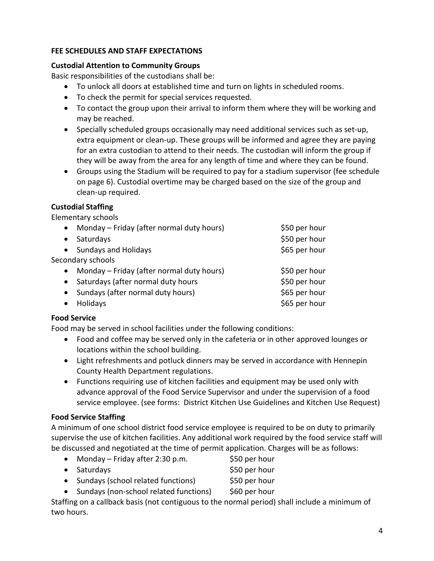## **FEE SCHEDULES AND STAFF EXPECTATIONS**

#### **Custodial Attention to Community Groups**

Basic responsibilities of the custodians shall be:

- To unlock all doors at established time and turn on lights in scheduled rooms.
- To check the permit for special services requested.
- To contact the group upon their arrival to inform them where they will be working and may be reached.
- Specially scheduled groups occasionally may need additional services such as set-up, extra equipment or clean-up. These groups will be informed and agree they are paying for an extra custodian to attend to their needs. The custodian will inform the group if they will be away from the area for any length of time and where they can be found.
- Groups using the Stadium will be required to pay for a stadium supervisor (fee schedule on page 6). Custodial overtime may be charged based on the size of the group and clean-up required.

#### **Custodial Staffing**

Elementary schools

| $\bullet$ | Monday – Friday (after normal duty hours) | \$50 per hour |
|-----------|-------------------------------------------|---------------|
| $\bullet$ | Saturdays                                 | \$50 per hour |
|           | • Sundays and Holidays                    | \$65 per hour |
|           | Secondary schools                         |               |
| $\bullet$ | Monday – Friday (after normal duty hours) | \$50 per hour |
|           | Saturdays (after normal duty hours        | \$50 per hour |
| $\bullet$ | Sundays (after normal duty hours)         | \$65 per hour |
|           | Holidays                                  | \$65 per hour |

#### **Food Service**

Food may be served in school facilities under the following conditions:

- Food and coffee may be served only in the cafeteria or in other approved lounges or locations within the school building.
- Light refreshments and potluck dinners may be served in accordance with Hennepin County Health Department regulations.
- Functions requiring use of kitchen facilities and equipment may be used only with advance approval of the Food Service Supervisor and under the supervision of a food service employee. (see forms: District Kitchen Use Guidelines and Kitchen Use Request)

#### **Food Service Staffing**

A minimum of one school district food service employee is required to be on duty to primarily supervise the use of kitchen facilities. Any additional work required by the food service staff will be discussed and negotiated at the time of permit application. Charges will be as follows:

- Monday Friday after 2:30 p.m.  $$50$  per hour
- Saturdays **blue Saturdays 550** per hour
- Sundays (school related functions) \$50 per hour
- Sundays (non-school related functions) \$60 per hour

Staffing on a callback basis (not contiguous to the normal period) shall include a minimum of two hours.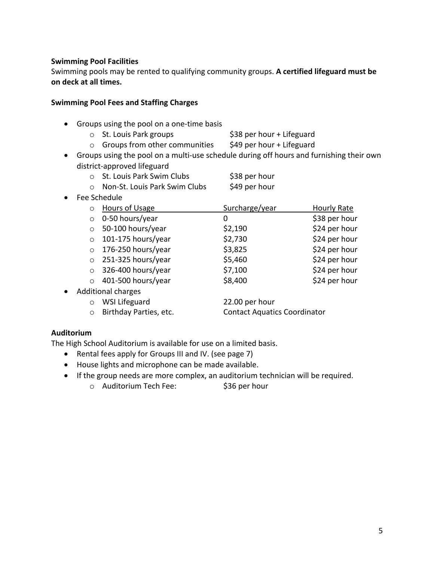#### **Swimming Pool Facilities**

Swimming pools may be rented to qualifying community groups. A certified lifeguard must be **on deck at all times.** 

#### **Swimming Pool Fees and Staffing Charges**

- Groups using the pool on a one-time basis
	- o St. Louis Park groups  $\frac{1}{2}$  \$38 per hour + Lifeguard
	- $\circ$  Groups from other communities  $\frac{1}{2}$  \$49 per hour + Lifeguard
- Groups using the pool on a multi-use schedule during off hours and furnishing their own district-approved lifeguard
	- o St. Louis Park Swim Clubs \$38 per hour
	- o Non-St. Louis Park Swim Clubs \$49 per hour
- Fee Schedule

|         | o Hours of Usage           | Surcharge/year | <b>Hourly Rate</b> |
|---------|----------------------------|----------------|--------------------|
|         | $\circ$ 0-50 hours/year    | 0              | \$38 per hour      |
|         | $\circ$ 50-100 hours/year  | \$2,190        | \$24 per hour      |
|         | $\circ$ 101-175 hours/year | \$2,730        | \$24 per hour      |
|         | $\circ$ 176-250 hours/year | \$3,825        | \$24 per hour      |
|         | $\circ$ 251-325 hours/year | \$5,460        | \$24 per hour      |
|         | $\circ$ 326-400 hours/year | \$7,100        | \$24 per hour      |
| $\circ$ | 401-500 hours/year         | \$8,400        | \$24 per hour      |
|         | ومصدماء الممرمثينا         |                |                    |

- Additional charges
	- o WSI Lifeguard 22.00 per hour
	- o Birthday Parties, etc. Contact Aquatics Coordinator

#### **Auditorium**

The High School Auditorium is available for use on a limited basis.

- Rental fees apply for Groups III and IV. (see page 7)
- House lights and microphone can be made available.
- If the group needs are more complex, an auditorium technician will be required.
	- o Auditorium Tech Fee: \$36 per hour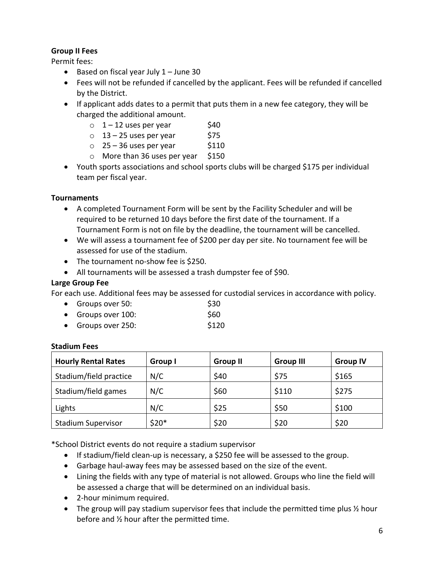## **Group II Fees**

Permit fees:

- Based on fiscal year July  $1 -$  June 30
- Fees will not be refunded if cancelled by the applicant. Fees will be refunded if cancelled by the District.
- If applicant adds dates to a permit that puts them in a new fee category, they will be charged the additional amount.
	- $\circ$  1 12 uses per year  $\sin$  \$40
	- $\circ$  13 25 uses per year \$75
	- $\circ$  25 36 uses per year \$110
	- $\circ$  More than 36 uses per year \$150
- Youth sports associations and school sports clubs will be charged \$175 per individual team per fiscal year.

# **Tournaments**

- A completed Tournament Form will be sent by the Facility Scheduler and will be required to be returned 10 days before the first date of the tournament. If a Tournament Form is not on file by the deadline, the tournament will be cancelled.
- We will assess a tournament fee of \$200 per day per site. No tournament fee will be assessed for use of the stadium.
- The tournament no-show fee is \$250.
- All tournaments will be assessed a trash dumpster fee of \$90.

## Large Group Fee

For each use. Additional fees may be assessed for custodial services in accordance with policy.

- Groups over  $50:$  \$30
- Groups over  $100:$  \$60 • Groups over  $250$ :  $$120$

#### **Stadium Fees**

| <b>Hourly Rental Rates</b> | Group I | <b>Group II</b> | <b>Group III</b> | <b>Group IV</b> |
|----------------------------|---------|-----------------|------------------|-----------------|
| Stadium/field practice     | N/C     | \$40            | \$75             | \$165           |
| Stadium/field games        | N/C     | \$60            | \$110            | \$275           |
| Lights                     | N/C     | \$25            | \$50             | \$100           |
| <b>Stadium Supervisor</b>  | $$20*$  | \$20            | \$20             | \$20            |

\*School District events do not require a stadium supervisor

- If stadium/field clean-up is necessary, a \$250 fee will be assessed to the group.
- Garbage haul-away fees may be assessed based on the size of the event.
- Lining the fields with any type of material is not allowed. Groups who line the field will be assessed a charge that will be determined on an individual basis.
- 2-hour minimum required.
- The group will pay stadium supervisor fees that include the permitted time plus  $\frac{1}{2}$  hour before and  $\frac{1}{2}$  hour after the permitted time.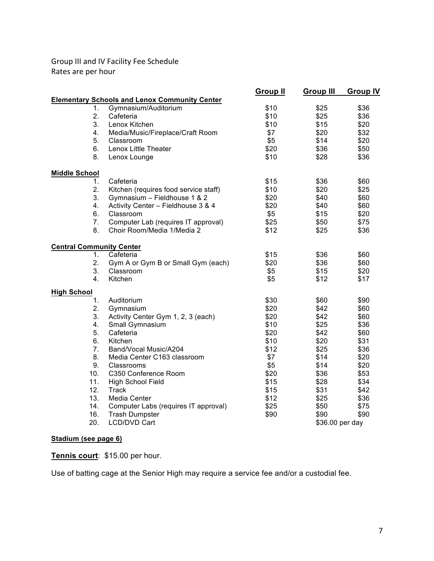Group III and IV Facility Fee Schedule Rates are per hour

|                                 |                                                      | <b>Group II</b> | <b>Group III</b> | <b>Group IV</b> |
|---------------------------------|------------------------------------------------------|-----------------|------------------|-----------------|
|                                 | <b>Elementary Schools and Lenox Community Center</b> |                 |                  |                 |
| 1.                              | Gymnasium/Auditorium                                 | \$10            | \$25             | \$36            |
| 2.                              | Cafeteria                                            | \$10            | \$25             | \$36            |
| 3.                              | Lenox Kitchen                                        | \$10            | \$15             | \$20            |
| 4.                              | Media/Music/Fireplace/Craft Room                     | \$7             | \$20             | \$32            |
| 5.                              | Classroom                                            | \$5             | \$14             | \$20            |
| 6.                              | Lenox Little Theater                                 | \$20            | \$36             | \$50            |
| 8.                              | Lenox Lounge                                         | \$10            | \$28             | \$36            |
| <b>Middle School</b>            |                                                      |                 |                  |                 |
| 1.                              | Cafeteria                                            | \$15            | \$36             | \$60            |
| 2.                              | Kitchen (requires food service staff)                | \$10            | \$20             | \$25            |
| 3.                              | Gymnasium - Fieldhouse 1 & 2                         | \$20            | \$40             | \$60            |
| 4.                              | Activity Center - Fieldhouse 3 & 4                   | \$20            | \$40             | \$60            |
| 6.                              | Classroom                                            | \$5             | \$15             | \$20            |
| 7.                              | Computer Lab (requires IT approval)                  | \$25            | \$50             | \$75            |
| 8.                              | Choir Room/Media 1/Media 2                           | \$12            | \$25             | \$36            |
| <b>Central Community Center</b> |                                                      |                 |                  |                 |
| $1_{-}$                         | Cafeteria                                            | \$15            | \$36             | \$60            |
| 2.                              | Gym A or Gym B or Small Gym (each)                   | \$20            | \$36             | \$60            |
| 3.                              | Classroom                                            | \$5             | \$15             | \$20            |
| 4.                              | Kitchen                                              | \$5             | \$12             | \$17            |
| <b>High School</b>              |                                                      |                 |                  |                 |
| 1.                              | Auditorium                                           | \$30            | \$60             | \$90            |
| 2.                              | Gymnasium                                            | \$20            | \$42             | \$60            |
| 3.                              | Activity Center Gym 1, 2, 3 (each)                   | \$20            | \$42             | \$60            |
| 4.                              | Small Gymnasium                                      | \$10            | \$25             | \$36            |
| 5.                              | Cafeteria                                            | \$20            | \$42             | \$60            |
| 6.                              | Kitchen                                              | \$10            | \$20             | \$31            |
| 7.                              | Band/Vocal Music/A204                                | \$12            | \$25             | \$36            |
| 8.                              | Media Center C163 classroom                          | \$7             | \$14             | \$20            |
| 9.                              | Classrooms                                           | \$5             | \$14             | \$20            |
| 10.                             | C350 Conference Room                                 | \$20            | \$36             | \$53            |
| 11.                             | High School Field                                    | \$15            | \$28             | \$34            |
| 12.                             | <b>Track</b>                                         | \$15            | \$31             | \$42            |
| 13.                             | Media Center                                         | \$12            | \$25             | \$36            |
| 14.                             | Computer Labs (requires IT approval)                 | \$25            | \$50             | \$75            |
| 16.                             | <b>Trash Dumpster</b>                                | \$90            | \$90             | \$90            |
| 20.                             | <b>LCD/DVD Cart</b>                                  |                 | \$36.00 per day  |                 |

# **Stadium (see page 6)**

**Tennis court**: \$15.00 per hour.

Use of batting cage at the Senior High may require a service fee and/or a custodial fee.